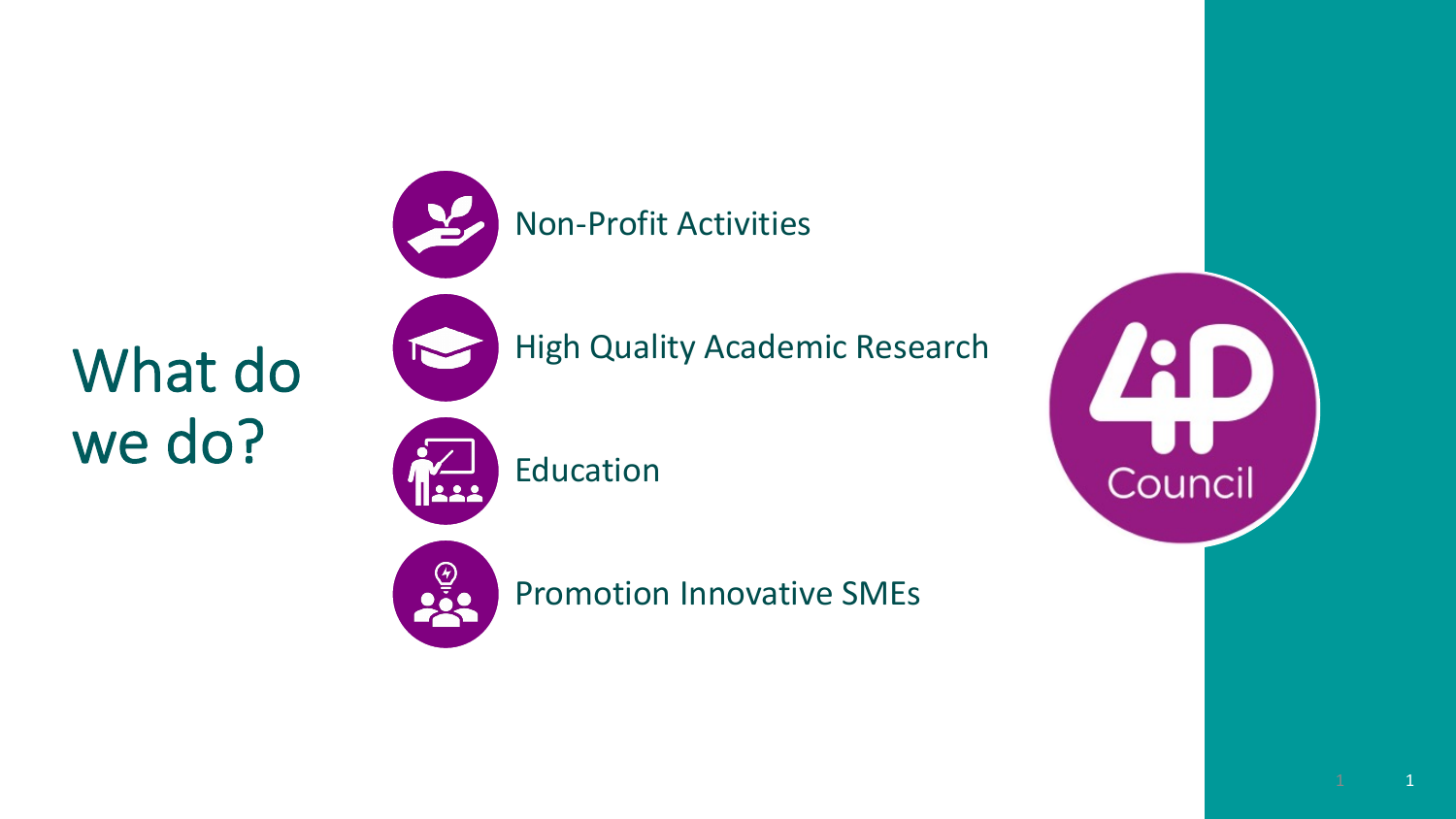

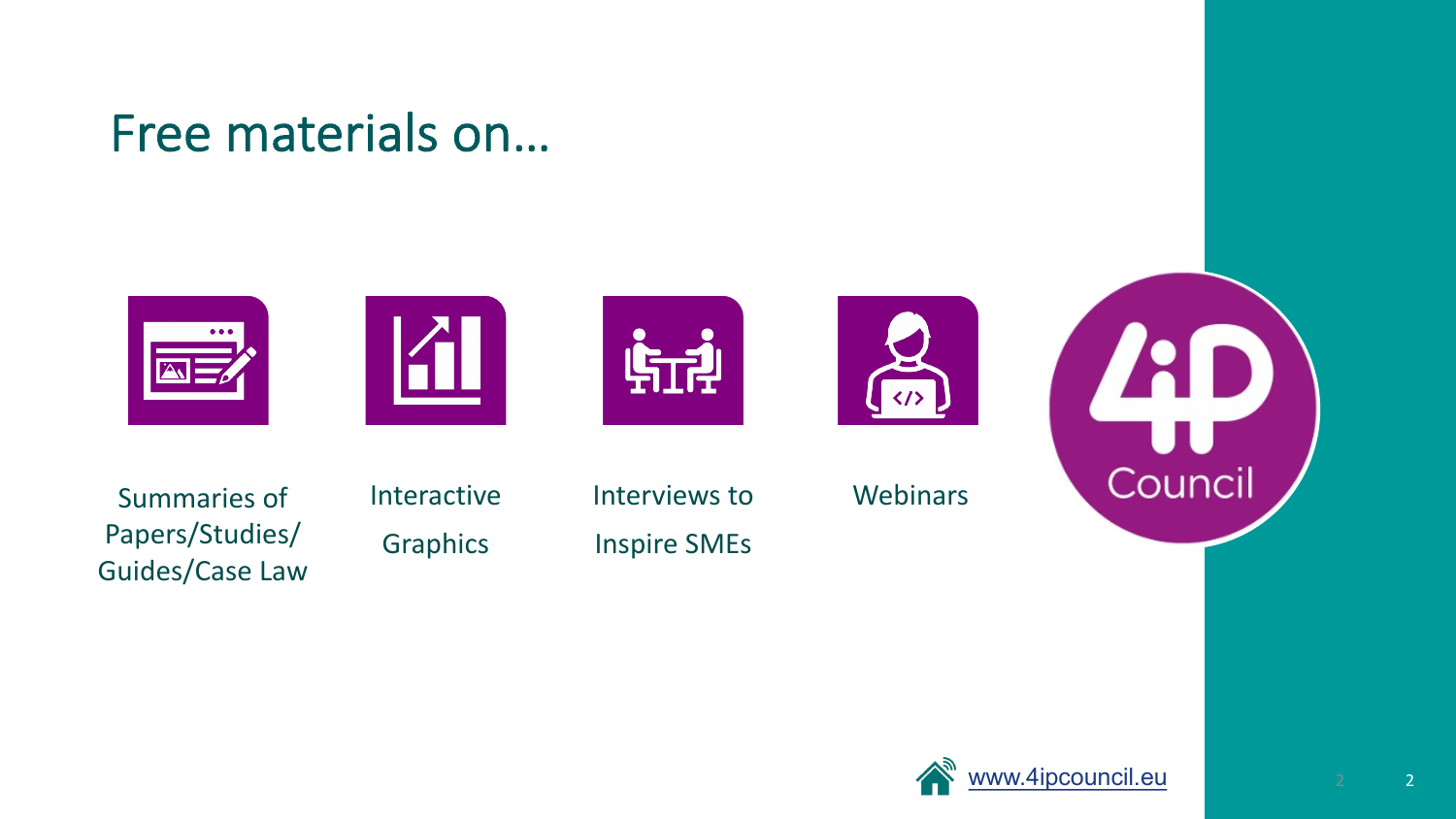# Free materials on…

| ٠<br>٠ |
|--------|
| m.     |
|        |

Summaries of Papers/Studies/ Guides/Case Law



Interactive Graphics



Interviews to Webir Inspire SMEs

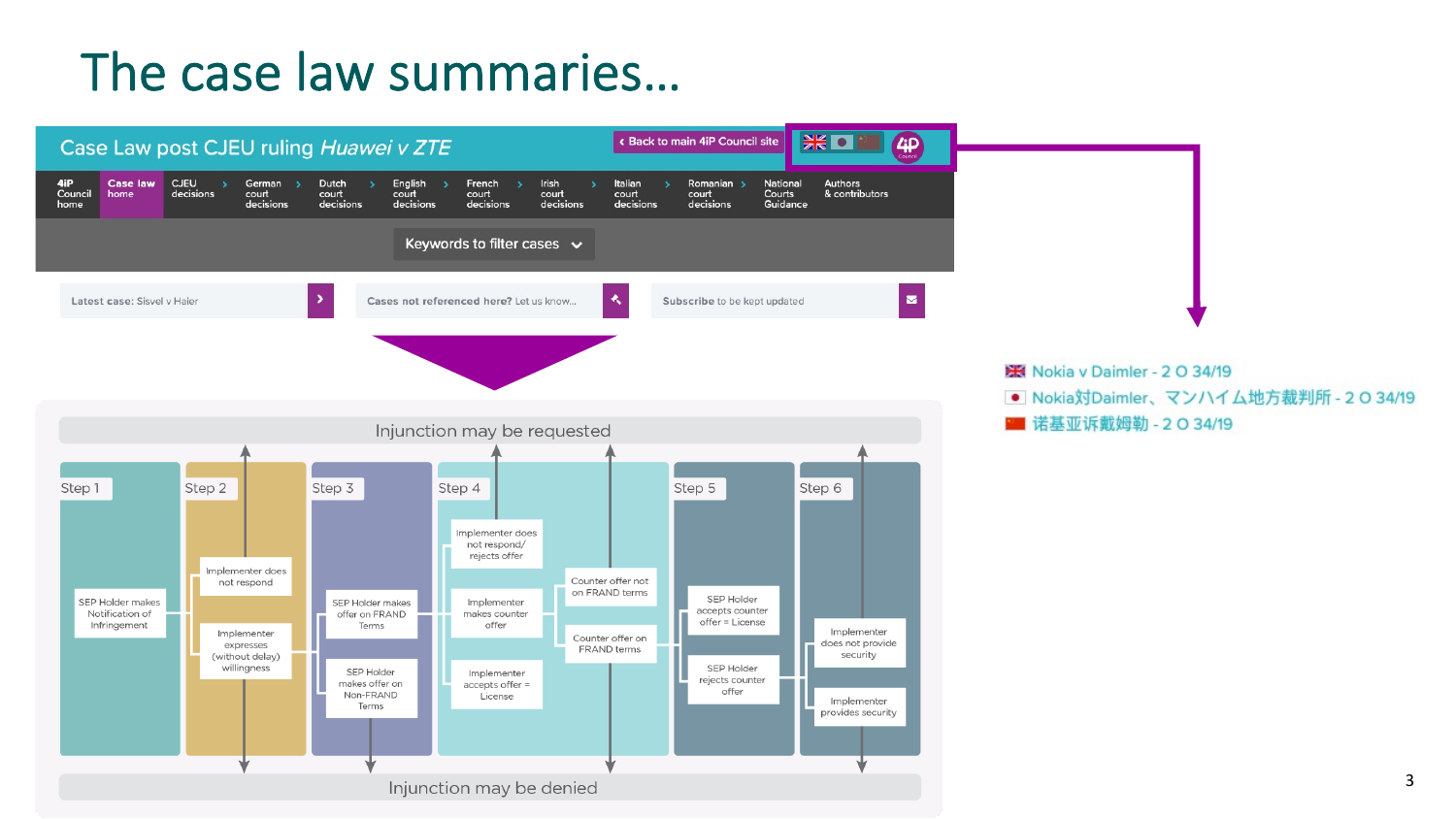## The case law summaries…

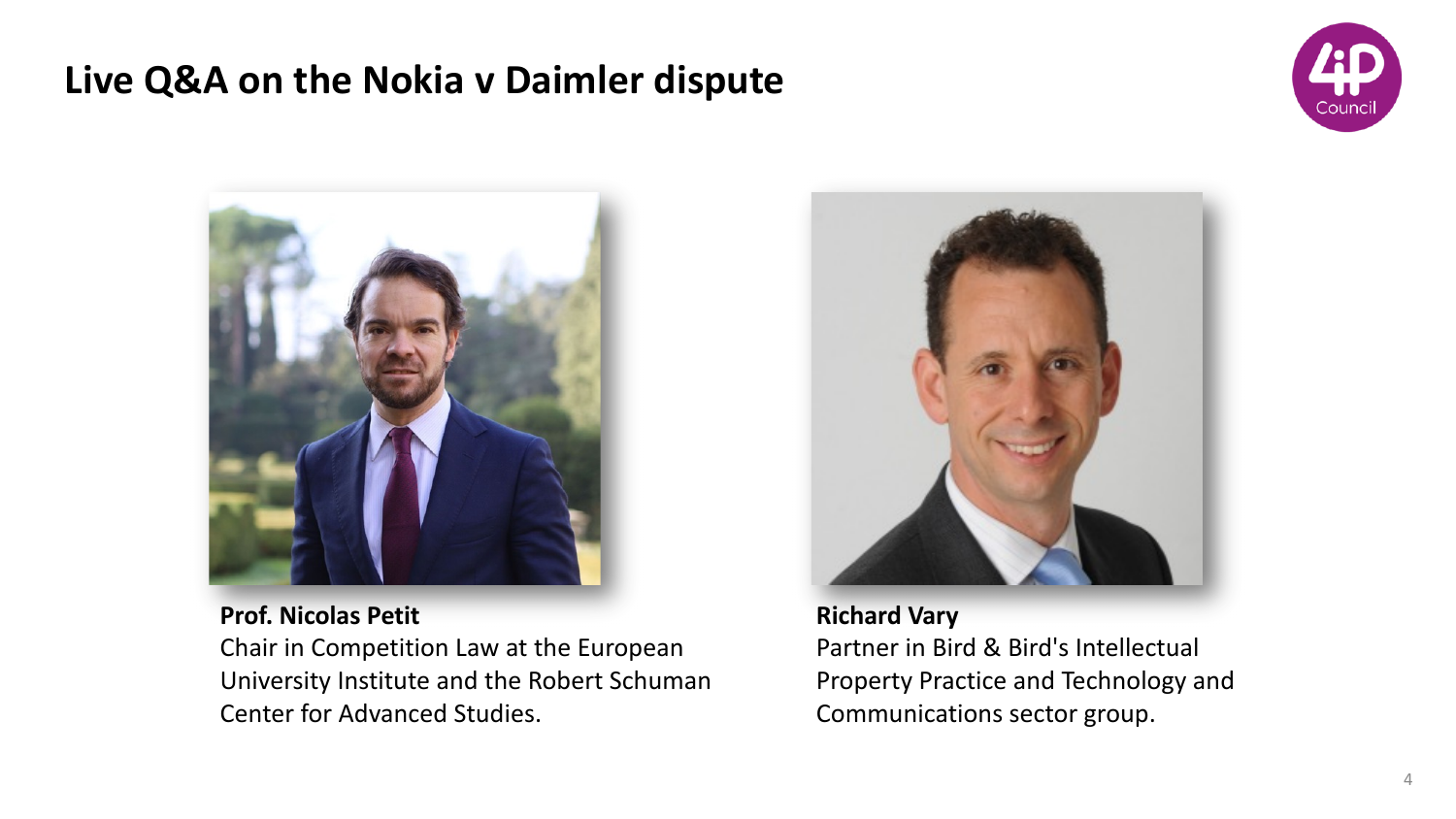### **Live Q&A on the Nokia v Daimler dispute**





**Prof. Nicolas Petit** Chair in Competition Law at the European University Institute and the Robert Schuman Center for Advanced Studies.



**Richard Vary** Partner in Bird & Bird's Intellectual Property Practice and Technology and Communications sector group.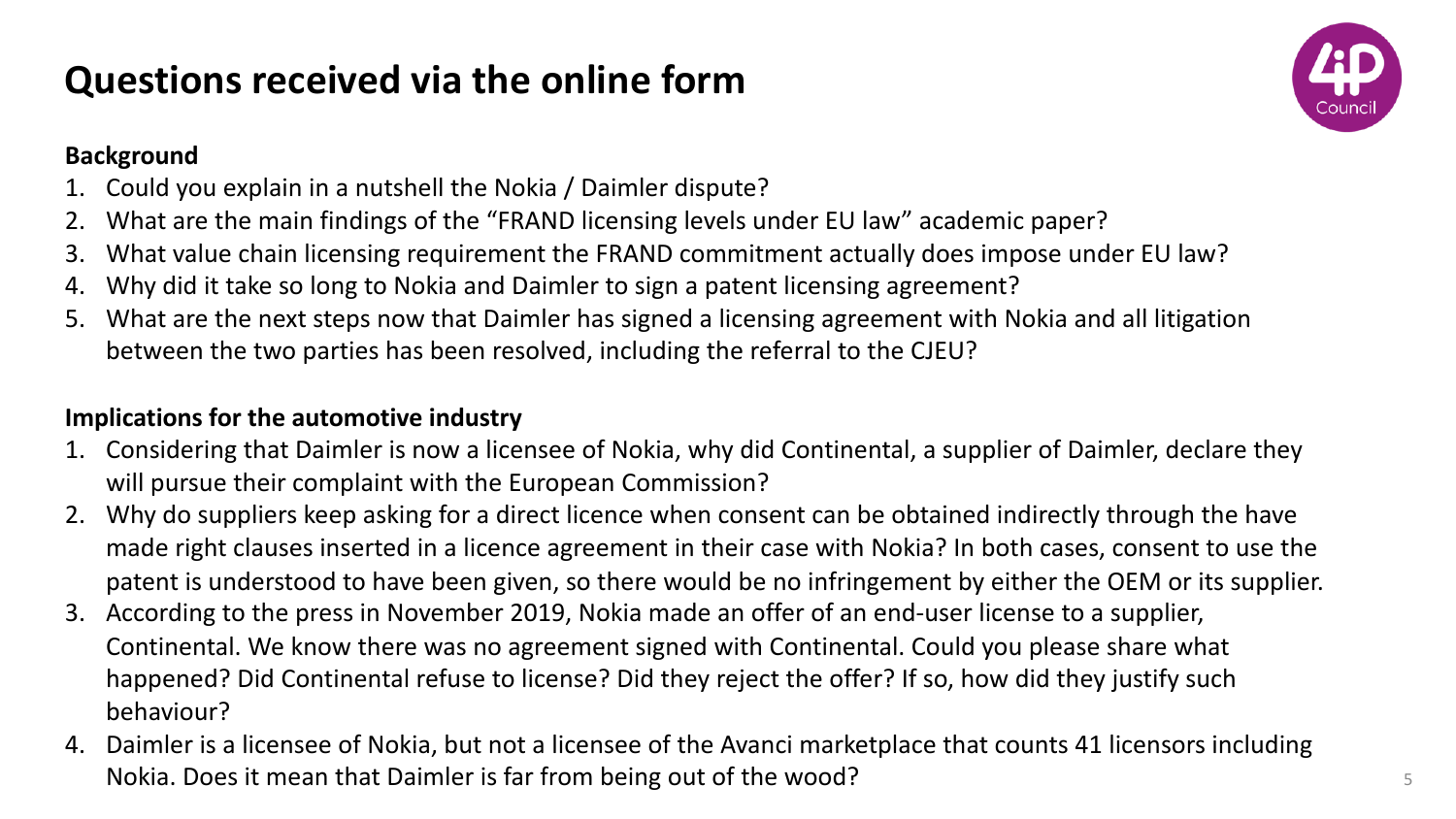### **Questions received via the online form**



#### **Background**

- 1. Could you explain in a nutshell the Nokia / Daimler dispute?
- 2. What are the main findings of the "FRAND licensing levels under EU law" academic paper?
- 3. What value chain licensing requirement the FRAND commitment actually does impose under EU law?
- 4. Why did it take so long to Nokia and Daimler to sign a patent licensing agreement?
- 5. What are the next steps now that Daimler has signed a licensing agreement with Nokia and all litigation between the two parties has been resolved, including the referral to the CJEU?

#### **Implications for the automotive industry**

- 1. Considering that Daimler is now a licensee of Nokia, why did Continental, a supplier of Daimler, declare they will pursue their complaint with the European Commission?
- 2. Why do suppliers keep asking for a direct licence when consent can be obtained indirectly through the have made right clauses inserted in a licence agreement in their case with Nokia? In both cases, consent to use the patent is understood to have been given, so there would be no infringement by either the OEM or its supplier.
- 3. According to the press in November 2019, Nokia made an offer of an end-user license to a supplier, Continental. We know there was no agreement signed with Continental. Could you please share what happened? Did Continental refuse to license? Did they reject the offer? If so, how did they justify such behaviour?
- 4. Daimler is a licensee of Nokia, but not a licensee of the Avanci marketplace that counts 41 licensors including Nokia. Does it mean that Daimler is far from being out of the wood? The state of the state of the wood is a state of the state of the wood is a state of the wood is a state of the wood is a state of the wood is a state of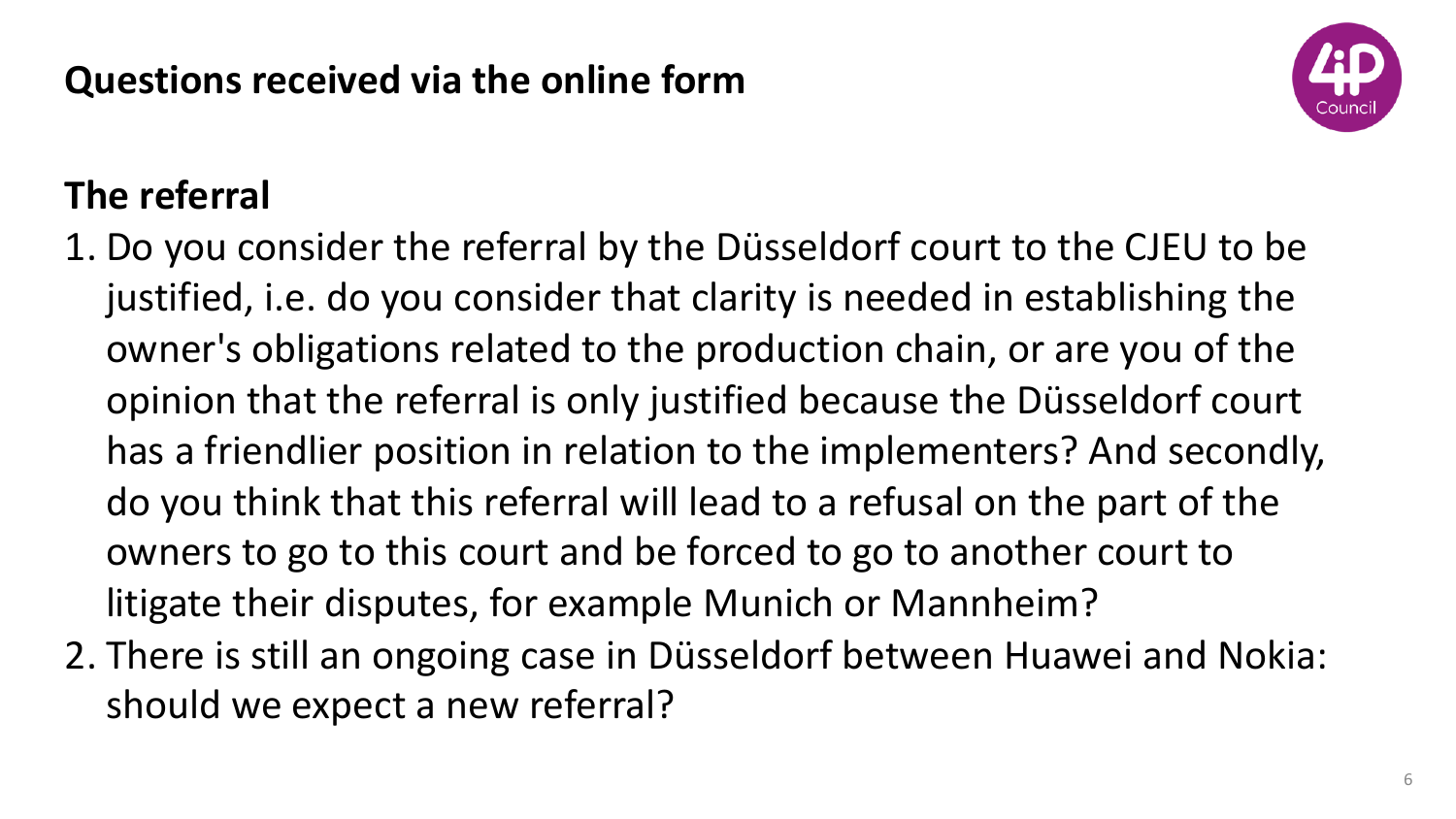## **Questions received via the online form**



## **The referral**

- 1. Do you consider the referral by the Düsseldorf court to the CJEU to be justified, i.e. do you consider that clarity is needed in establishing the owner's obligations related to the production chain, or are you of the opinion that the referral is only justified because the Düsseldorf court has a friendlier position in relation to the implementers? And secondly, do you think that this referral will lead to a refusal on the part of the owners to go to this court and be forced to go to another court to litigate their disputes, for example Munich or Mannheim?
- 2. There is still an ongoing case in Düsseldorf between Huawei and Nokia: should we expect a new referral?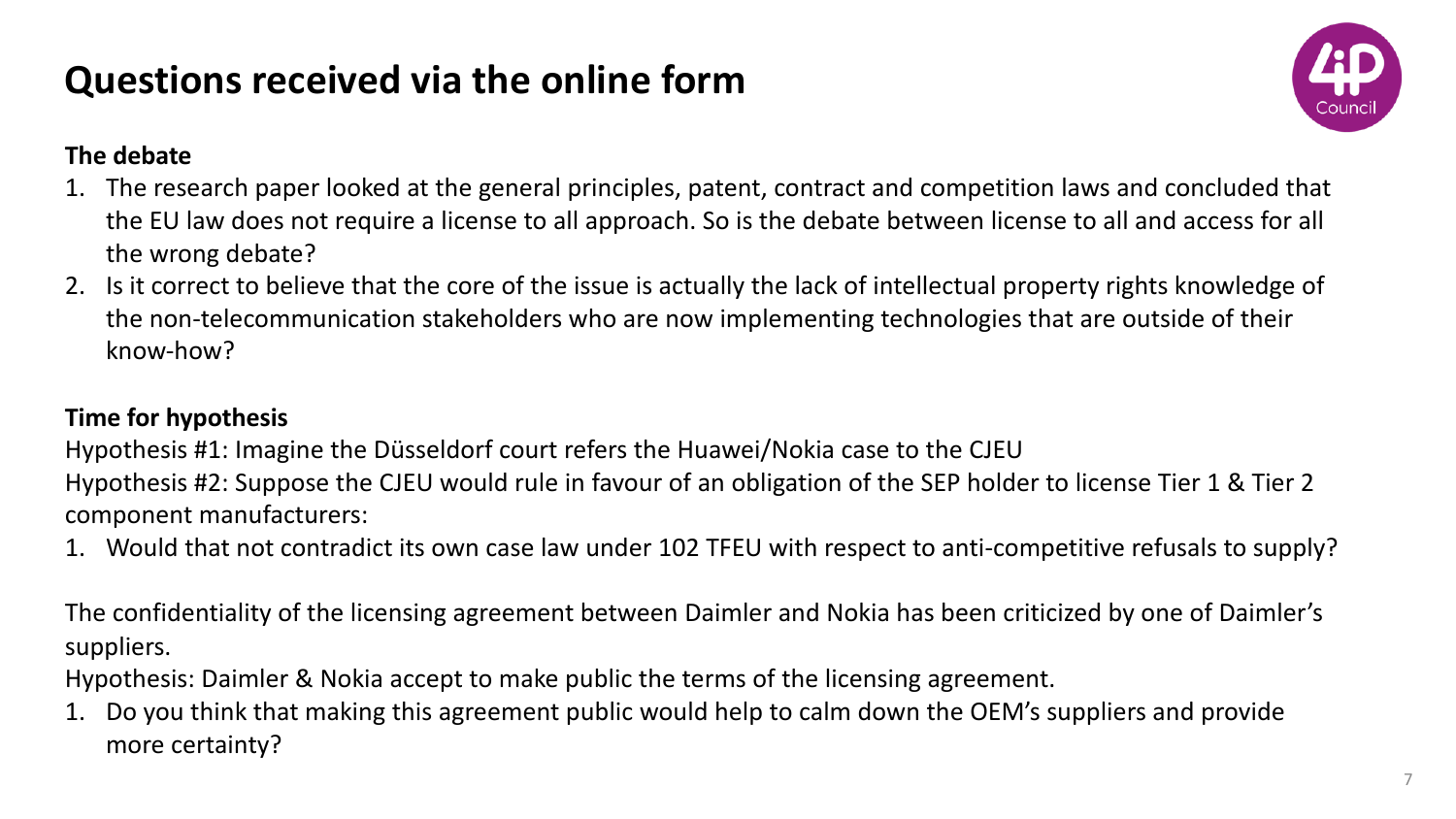## **Questions received via the online form**



#### **The debate**

- 1. The research paper looked at the general principles, patent, contract and competition laws and concluded that the EU law does not require a license to all approach. So is the debate between license to all and access for all the wrong debate?
- 2. Is it correct to believe that the core of the issue is actually the lack of intellectual property rights knowledge of the non-telecommunication stakeholders who are now implementing technologies that are outside of their know-how?

#### **Time for hypothesis**

Hypothesis #1: Imagine the Düsseldorf court refers the Huawei/Nokia case to the CJEU Hypothesis #2: Suppose the CJEU would rule in favour of an obligation of the SEP holder to license Tier 1 & Tier 2 component manufacturers:

1. Would that not contradict its own case law under 102 TFEU with respect to anti-competitive refusals to supply?

The confidentiality of the licensing agreement between Daimler and Nokia has been criticized by one of Daimler's suppliers.

Hypothesis: Daimler & Nokia accept to make public the terms of the licensing agreement.

1. Do you think that making this agreement public would help to calm down the OEM's suppliers and provide more certainty?